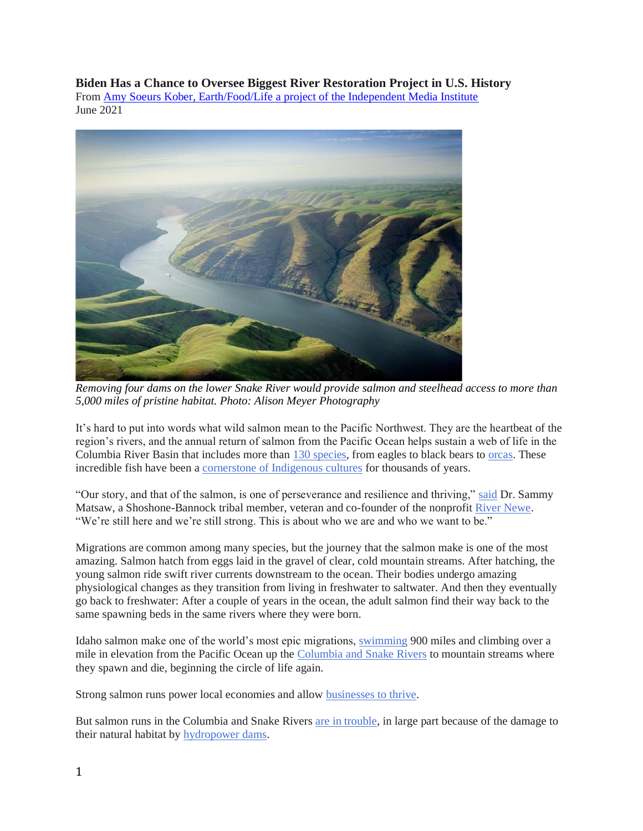**Biden Has a Chance to Oversee Biggest River Restoration Project in U.S. History**

From [Amy Soeurs Kober, Earth/Food/Life a project of the Independent Media Institute](https://independentmediainstitute.org/earth-food-life/) June 2021



*Removing four dams on the lower Snake River would provide salmon and steelhead access to more than 5,000 miles of pristine habitat. Photo: Alison Meyer Photography*

It's hard to put into words what wild salmon mean to the Pacific Northwest. They are the heartbeat of the region's rivers, and the annual return of salmon from the Pacific Ocean helps sustain a web of life in the Columbia River Basin that includes more than [130 species,](https://blog.nwf.org/2020/03/salmon-migration-showing-the-way-toward-a-healthy-ecology/) from eagles to black bears to [orcas.](https://www.seattletimes.com/seattle-news/environment/hunger-the-decline-of-salmon-adds-to-the-struggle-of-puget-sounds-orcas/) These incredible fish have been a [cornerstone of Indigenous cultures](https://www.critfc.org/salmon-culture/tribal-salmon-culture/) for thousands of years.

"Our story, and that of the salmon, is one of perseverance and resilience and thriving," [said](https://nwstrong.squarespace.com/) Dr. Sammy Matsaw, a Shoshone-Bannock tribal member, veteran and co-founder of the nonprofit [River Newe.](https://rivernewe.org/) "We're still here and we're still strong. This is about who we are and who we want to be."

Migrations are common among many species, but the journey that the salmon make is one of the most amazing. Salmon hatch from eggs laid in the gravel of clear, cold mountain streams. After hatching, the young salmon ride swift river currents downstream to the ocean. Their bodies undergo amazing physiological changes as they transition from living in freshwater to saltwater. And then they eventually go back to freshwater: After a couple of years in the ocean, the adult salmon find their way back to the same spawning beds in the same rivers where they were born.

Idaho salmon make one of the world's most epic migrations, [swimming](https://www.americanrivers.org/river/snake-river/) 900 miles and climbing over a mile in elevation from the Pacific Ocean up the [Columbia and Snake Rivers](https://www.americanrivers.org/2020/07/its-about-the-river/) to mountain streams where they spawn and die, beginning the circle of life again.

Strong salmon runs power local economies and allow [businesses to thrive.](https://nsiafishing.org/advocacy/snake-river-restoration/)

But salmon runs in the Columbia and Snake Rivers [are in trouble,](https://www.tu.org/scientific-case-lower-snake/) in large part because of the damage to their natural habitat by [hydropower dams.](https://www.americanrivers.org/threats-solutions/restoring-damaged-rivers/how-dams-damage-rivers/)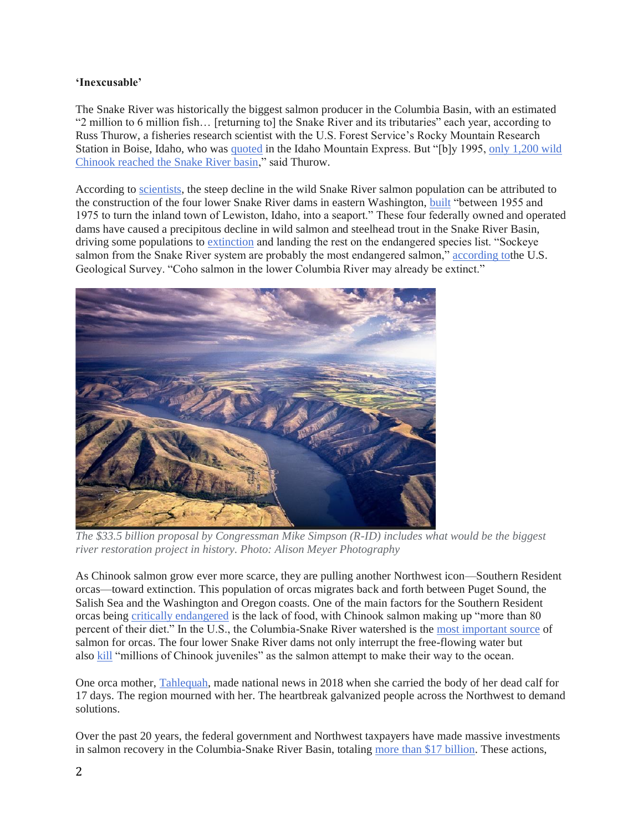## **'Inexcusable'**

The Snake River was historically the biggest salmon producer in the Columbia Basin, with an estimated "2 million to 6 million fish… [returning to] the Snake River and its tributaries" each year, according to Russ Thurow, a fisheries research scientist with the U.S. Forest Service's Rocky Mountain Research Station in Boise, Idaho, who was [quoted](https://www.mtexpress.com/news/environment/middle-fork-could-regain-role-as-salmon-nursery/article_f278829e-2368-11e6-aba0-2f533de5d069.html) in the Idaho Mountain Express. But "[b]y 1995, [only 1,200 wild](https://www.mtexpress.com/news/environment/middle-fork-could-regain-role-as-salmon-nursery/article_f278829e-2368-11e6-aba0-2f533de5d069.html)  [Chinook reached the Snake River basin,](https://www.mtexpress.com/news/environment/middle-fork-could-regain-role-as-salmon-nursery/article_f278829e-2368-11e6-aba0-2f533de5d069.html)" said Thurow.

According to [scientists,](https://wildsnakeriversalmon.medium.com/snake-river-salmon-headed-for-extinction-without-drastic-action-e9f0d196eddc) the steep decline in the wild Snake River salmon population can be attributed to the construction of the four lower Snake River dams in eastern Washington, [built](https://www.americanrivers.org/snakerivervision/index.html) "between 1955 and 1975 to turn the inland town of Lewiston, Idaho, into a seaport." These four federally owned and operated dams have caused a precipitous decline in wild salmon and steelhead trout in the Snake River Basin, driving some populations to [extinction](https://wildsnakeriversalmon.medium.com/snake-river-salmon-headed-for-extinction-without-drastic-action-e9f0d196eddc) and landing the rest on the endangered species list. "Sockeye salmon from the Snake River system are probably the most endangered salmon," [according tot](https://www.usgs.gov/faqs/where-are-salmon-most-endangered/)he U.S. Geological Survey. "Coho salmon in the lower Columbia River may already be extinct."



*The \$33.5 billion proposal by Congressman Mike Simpson (R-ID) includes what would be the biggest river restoration project in history. Photo: Alison Meyer Photography*

As Chinook salmon grow ever more scarce, they are pulling another Northwest icon—Southern Resident orcas—toward extinction. This population of orcas migrates back and forth between Puget Sound, the Salish Sea and the Washington and Oregon coasts. One of the main factors for the Southern Resident orcas being [critically endangered](https://www.endangered.org/campaigns/southern-resident-orcas/) is the lack of food, with Chinook salmon making up "more than 80 percent of their diet." In the U.S., the Columbia-Snake River watershed is the [most important source](https://www.srkwcsi.org/vital-connection-orcas-salmon-dams) of salmon for orcas. The four lower Snake River dams not only interrupt the free-flowing water but also [kill](https://www.endangered.org/campaigns/southern-resident-orcas/) "millions of Chinook juveniles" as the salmon attempt to make their way to the ocean.

One orca mother, [Tahlequah,](https://www.seattletimes.com/seattle-news/environment/mother-orca-tahlequah-and-her-dead-calf-one-year-later-how-are-the-southern-residents-doing/) made national news in 2018 when she carried the body of her dead calf for 17 days. The region mourned with her. The heartbreak galvanized people across the Northwest to demand solutions.

Over the past 20 years, the federal government and Northwest taxpayers have made massive investments in salmon recovery in the Columbia-Snake River Basin, totaling [more than \\$17 billion.](https://simpson.house.gov/salmon/) These actions,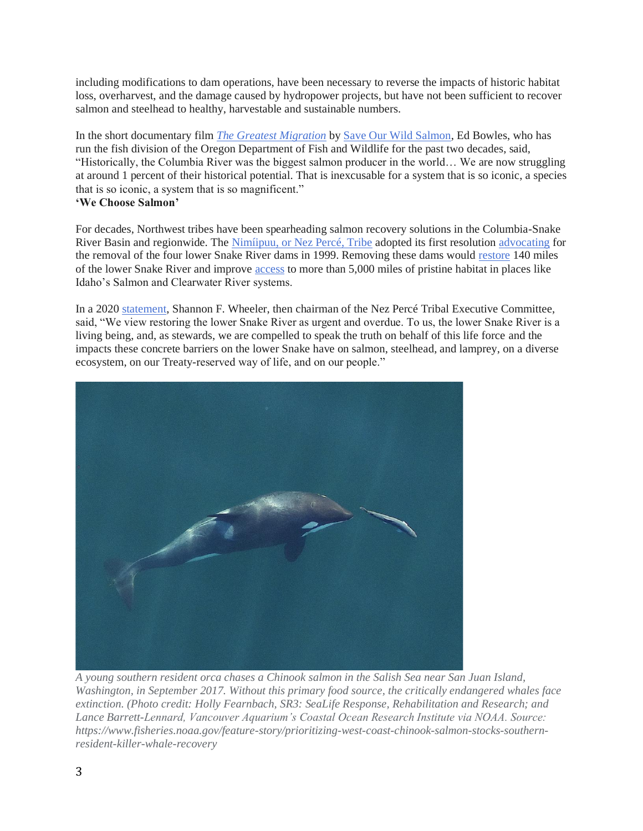including modifications to dam operations, have been necessary to reverse the impacts of historic habitat loss, overharvest, and the damage caused by hydropower projects, but have not been sufficient to recover salmon and steelhead to healthy, harvestable and sustainable numbers.

In the short documentary film *[The Greatest Migration](https://vimeo.com/17098720)* by [Save Our Wild Salmon,](https://www.wildsalmon.org/) Ed Bowles, who has run the fish division of the Oregon Department of Fish and Wildlife for the past two decades, said, "Historically, the Columbia River was the biggest salmon producer in the world… We are now struggling at around 1 percent of their historical potential. That is inexcusable for a system that is so iconic, a species that is so iconic, a system that is so magnificent." **'We Choose Salmon'**

For decades, Northwest tribes have been spearheading salmon recovery solutions in the Columbia-Snake River Basin and regionwide. The [Nimíipuu, or Nez Percé, Tribe](https://nezperce.org/) adopted its first resolution [advocating](https://www.americanrivers.org/2021/02/a-bold-plan-for-salmon-clean-energy-and-jobs-in-the-pacific-northwest/) for the removal of the four lower Snake River dams in 1999. Removing these dams would [restore](https://www.americanrivers.org/river/snake-river/) 140 miles of the lower Snake River and improve [access](https://e360.yale.edu/features/on-the-northwests-snake-river-the-case-for-dam-removal-grows) to more than 5,000 miles of pristine habitat in places like Idaho's Salmon and Clearwater River systems.

In a 2020 [statement,](https://indiancountrytoday.com/the-press-pool/nez-perce-tribe-again-calls-for-leadership-on-lower-snake-river-restoration-x97Xo3XF-EuYnqTJcwgswg) Shannon F. Wheeler, then chairman of the Nez Percé Tribal Executive Committee, said, "We view restoring the lower Snake River as urgent and overdue. To us, the lower Snake River is a living being, and, as stewards, we are compelled to speak the truth on behalf of this life force and the impacts these concrete barriers on the lower Snake have on salmon, steelhead, and lamprey, on a diverse ecosystem, on our Treaty-reserved way of life, and on our people."



*A young southern resident orca chases a Chinook salmon in the Salish Sea near San Juan Island, Washington, in September 2017. Without this primary food source, the critically endangered whales face extinction. (Photo credit: Holly Fearnbach, SR3: SeaLife Response, Rehabilitation and Research; and Lance Barrett-Lennard, Vancouver Aquarium's Coastal Ocean Research Institute via NOAA. Source: https://www.fisheries.noaa.gov/feature-story/prioritizing-west-coast-chinook-salmon-stocks-southernresident-killer-whale-recovery*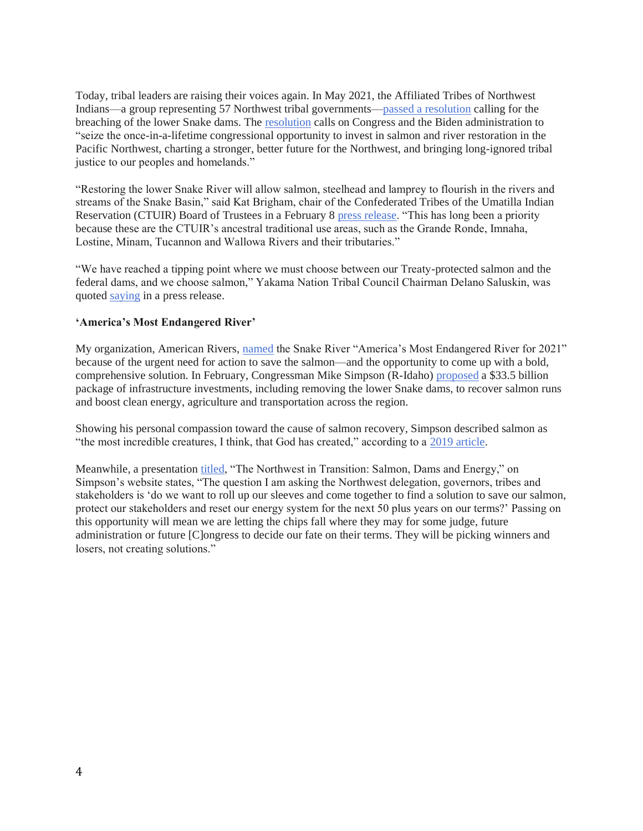Today, tribal leaders are raising their voices again. In May 2021, the Affiliated Tribes of Northwest Indians—a group representing 57 Northwest tribal governments[—passed a resolution](https://www.seattletimes.com/seattle-news/environment/northwest-tribes-unite-over-gop-congressmans-pitch-to-breach-down-lower-snake-river-dams/) calling for the breaching of the lower Snake dams. The [resolution](https://www.documentcloud.org/documents/20792181-northwest-salmon-and-river-restoration-resolution-atni-mid-year-2021-v2) calls on Congress and the Biden administration to "seize the once-in-a-lifetime congressional opportunity to invest in salmon and river restoration in the Pacific Northwest, charting a stronger, better future for the Northwest, and bringing long-ignored tribal justice to our peoples and homelands."

"Restoring the lower Snake River will allow salmon, steelhead and lamprey to flourish in the rivers and streams of the Snake Basin," said Kat Brigham, chair of the Confederated Tribes of the Umatilla Indian Reservation (CTUIR) Board of Trustees in a February 8 [press release.](https://cuj.ctuir.org/2021/02/ctuir-supports-rep-simpsons-columbia-basin-initiative/) "This has long been a priority because these are the CTUIR's ancestral traditional use areas, such as the Grande Ronde, Imnaha, Lostine, Minam, Tucannon and Wallowa Rivers and their tributaries."

"We have reached a tipping point where we must choose between our Treaty-protected salmon and the federal dams, and we choose salmon," Yakama Nation Tribal Council Chairman Delano Saluskin, was quoted [saying](https://www.sierraclub.org/sites/www.sierraclub.org/files/sce/washington-state-chapter/Communications/Website/2021.YN_.statement.pdf) in a press release.

## **'America's Most Endangered River'**

My organization, American Rivers, [named](https://www.americanrivers.org/conservation-resource/snake-river-named-americas-most-endangered-river-for-2021/) the Snake River "America's Most Endangered River for 2021" because of the urgent need for action to save the salmon—and the opportunity to come up with a bold, comprehensive solution. In February, Congressman Mike Simpson (R-Idaho) [proposed](https://www.americanrivers.org/2021/02/a-bold-plan-for-salmon-clean-energy-and-jobs-in-the-pacific-northwest/) a \$33.5 billion package of infrastructure investments, including removing the lower Snake dams, to recover salmon runs and boost clean energy, agriculture and transportation across the region.

Showing his personal compassion toward the cause of salmon recovery, Simpson described salmon as "the most incredible creatures, I think, that God has created," according to a [2019 article.](https://www.spokesman.com/stories/2019/apr/24/i-want-salmon-back-in-idaho-simpson-seeks-bold-act/)

Meanwhile, a presentation [titled,](https://simpson.house.gov/uploadedfiles/websiteslides2.4.pdf) "The Northwest in Transition: Salmon, Dams and Energy," on Simpson's website states, "The question I am asking the Northwest delegation, governors, tribes and stakeholders is 'do we want to roll up our sleeves and come together to find a solution to save our salmon, protect our stakeholders and reset our energy system for the next 50 plus years on our terms?' Passing on this opportunity will mean we are letting the chips fall where they may for some judge, future administration or future [C]ongress to decide our fate on their terms. They will be picking winners and losers, not creating solutions."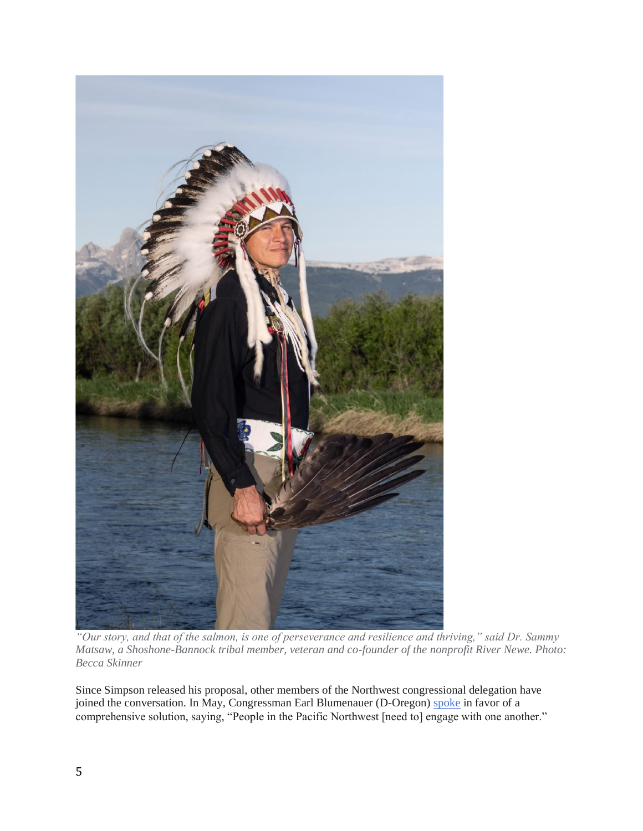

*"Our story, and that of the salmon, is one of perseverance and resilience and thriving," said Dr. Sammy Matsaw, a Shoshone-Bannock tribal member, veteran and co-founder of the nonprofit River Newe. Photo: Becca Skinner*

Since Simpson released his proposal, other members of the Northwest congressional delegation have joined the conversation. In May, Congressman Earl Blumenauer (D-Oregon) [spoke](https://www.youtube.com/watch?v=9e1oXz2e0jo) in favor of a comprehensive solution, saying, "People in the Pacific Northwest [need to] engage with one another."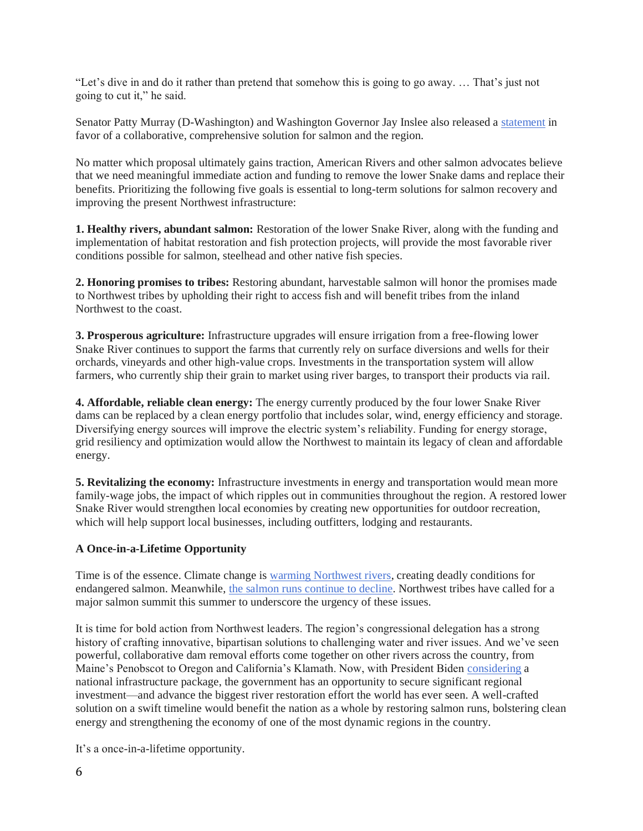"Let's dive in and do it rather than pretend that somehow this is going to go away. … That's just not going to cut it," he said.

Senator Patty Murray (D-Washington) and Washington Governor Jay Inslee also released a [statement](https://www.murray.senate.gov/public/index.cfm/newsreleases?ContentRecord_id=FD9C39AC-AEE4-4B6C-A4CE-FF9686D0C81A#:~:text=%E2%80%9CWe%20are%20ready%20to%20work,in%20the%20Columbia%20River%20Basin.%E2%80%9D) in favor of a collaborative, comprehensive solution for salmon and the region.

No matter which proposal ultimately gains traction, American Rivers and other salmon advocates believe that we need meaningful immediate action and funding to remove the lower Snake dams and replace their benefits. Prioritizing the following five goals is essential to long-term solutions for salmon recovery and improving the present Northwest infrastructure:

**1. Healthy rivers, abundant salmon:** Restoration of the lower Snake River, along with the funding and implementation of habitat restoration and fish protection projects, will provide the most favorable river conditions possible for salmon, steelhead and other native fish species.

**2. Honoring promises to tribes:** Restoring abundant, harvestable salmon will honor the promises made to Northwest tribes by upholding their right to access fish and will benefit tribes from the inland Northwest to the coast.

**3. Prosperous agriculture:** Infrastructure upgrades will ensure irrigation from a free-flowing lower Snake River continues to support the farms that currently rely on surface diversions and wells for their orchards, vineyards and other high-value crops. Investments in the transportation system will allow farmers, who currently ship their grain to market using river barges, to transport their products via rail.

**4. Affordable, reliable clean energy:** The energy currently produced by the four lower Snake River dams can be replaced by a clean energy portfolio that includes solar, wind, energy efficiency and storage. Diversifying energy sources will improve the electric system's reliability. Funding for energy storage, grid resiliency and optimization would allow the Northwest to maintain its legacy of clean and affordable energy.

**5. Revitalizing the economy:** Infrastructure investments in energy and transportation would mean more family-wage jobs, the impact of which ripples out in communities throughout the region. A restored lower Snake River would strengthen local economies by creating new opportunities for outdoor recreation, which will help support local businesses, including outfitters, lodging and restaurants.

## **A Once-in-a-Lifetime Opportunity**

Time is of the essence. Climate change is [warming Northwest rivers,](https://www.wildsalmon.org/news-and-media/sos-blog/hot-water-report-2020-august-19-issue-6.html) creating deadly conditions for endangered salmon. Meanwhile, [the salmon runs continue to decline.](https://www.nytimes.com/2021/01/20/climate/washington-salmon-extinction-climate-change.html) Northwest tribes have called for a major salmon summit this summer to underscore the urgency of these issues.

It is time for bold action from Northwest leaders. The region's congressional delegation has a strong history of crafting innovative, bipartisan solutions to challenging water and river issues. And we've seen powerful, collaborative dam removal efforts come together on other rivers across the country, from Maine's Penobscot to Oregon and California's Klamath. Now, with President Biden [considering](https://www.nytimes.com/2021/03/31/business/economy/biden-infrastructure-plan.html) a national infrastructure package, the government has an opportunity to secure significant regional investment—and advance the biggest river restoration effort the world has ever seen. A well-crafted solution on a swift timeline would benefit the nation as a whole by restoring salmon runs, bolstering clean energy and strengthening the economy of one of the most dynamic regions in the country.

It's a once-in-a-lifetime opportunity.